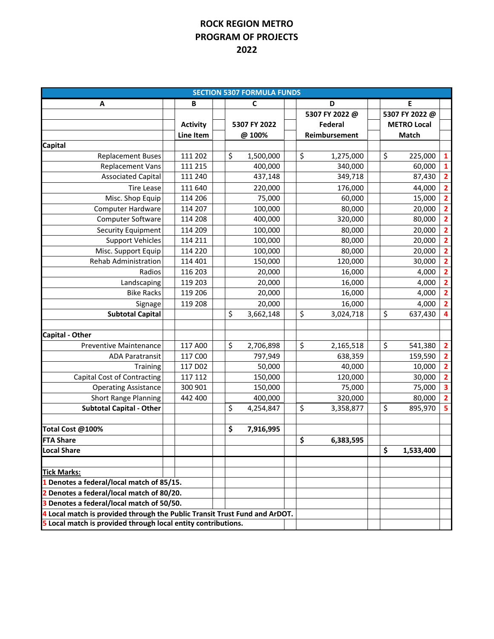## **ROCK REGION METRO PROGRAM OF PROJECTS 2022**

| <b>SECTION 5307 FORMULA FUNDS</b>                                          |                  |    |              |  |                 |  |                    |           |                         |
|----------------------------------------------------------------------------|------------------|----|--------------|--|-----------------|--|--------------------|-----------|-------------------------|
| A                                                                          | B                |    | C            |  | D               |  | E                  |           |                         |
|                                                                            |                  |    |              |  | 5307 FY 2022 @  |  | 5307 FY 2022 @     |           |                         |
|                                                                            | <b>Activity</b>  |    | 5307 FY 2022 |  | Federal         |  | <b>METRO Local</b> |           |                         |
|                                                                            | <b>Line Item</b> |    | @ 100%       |  | Reimbursement   |  | Match              |           |                         |
| Capital                                                                    |                  |    |              |  |                 |  |                    |           |                         |
| <b>Replacement Buses</b>                                                   | 111 202          | \$ | 1,500,000    |  | \$<br>1,275,000 |  | \$                 | 225,000   | $\mathbf{1}$            |
| <b>Replacement Vans</b>                                                    | 111 215          |    | 400,000      |  | 340,000         |  |                    | 60,000    | $\mathbf 1$             |
| <b>Associated Capital</b>                                                  | 111 240          |    | 437,148      |  | 349,718         |  |                    | 87,430    | $\overline{\mathbf{2}}$ |
| <b>Tire Lease</b>                                                          | 111 640          |    | 220,000      |  | 176,000         |  |                    | 44,000    | $\overline{\mathbf{2}}$ |
| Misc. Shop Equip                                                           | 114 206          |    | 75,000       |  | 60,000          |  |                    | 15,000    | $\overline{\mathbf{2}}$ |
| <b>Computer Hardware</b>                                                   | 114 207          |    | 100,000      |  | 80,000          |  |                    | 20,000    | $\frac{2}{2}$           |
| Computer Software                                                          | 114 208          |    | 400,000      |  | 320,000         |  |                    | 80,000    |                         |
| <b>Security Equipment</b>                                                  | 114 209          |    | 100,000      |  | 80,000          |  |                    | 20,000    | $\overline{\mathbf{2}}$ |
| <b>Support Vehicles</b>                                                    | 114 211          |    | 100,000      |  | 80,000          |  |                    | 20,000    | $\overline{\mathbf{2}}$ |
| Misc. Support Equip                                                        | 114 220          |    | 100,000      |  | 80,000          |  |                    | 20,000    | $\overline{\mathbf{2}}$ |
| <b>Rehab Administration</b>                                                | 114 401          |    | 150,000      |  | 120,000         |  |                    | 30,000    | $\overline{\mathbf{2}}$ |
| Radios                                                                     | 116 203          |    | 20,000       |  | 16,000          |  |                    | 4,000     | $\frac{2}{2}$           |
| Landscaping                                                                | 119 203          |    | 20,000       |  | 16,000          |  |                    | 4,000     |                         |
| <b>Bike Racks</b>                                                          | 119 206          |    | 20,000       |  | 16,000          |  |                    | 4,000     | $\overline{\mathbf{2}}$ |
| Signage                                                                    | 119 208          |    | 20,000       |  | 16,000          |  |                    | 4,000     | $\overline{\mathbf{2}}$ |
| <b>Subtotal Capital</b>                                                    |                  | \$ | 3,662,148    |  | \$<br>3,024,718 |  | \$                 | 637,430   | 4                       |
|                                                                            |                  |    |              |  |                 |  |                    |           |                         |
| <b>Capital - Other</b>                                                     |                  |    |              |  |                 |  |                    |           |                         |
| <b>Preventive Maintenance</b>                                              | 117 A00          | \$ | 2,706,898    |  | \$<br>2,165,518 |  | \$                 | 541,380   | $\overline{\mathbf{2}}$ |
| <b>ADA Paratransit</b>                                                     | 117 COO          |    | 797,949      |  | 638,359         |  |                    | 159,590   | $\overline{\mathbf{c}}$ |
| Training                                                                   | 117 D02          |    | 50,000       |  | 40,000          |  |                    | 10,000    | $\overline{\mathbf{2}}$ |
| Capital Cost of Contracting                                                | 117 112          |    | 150,000      |  | 120,000         |  |                    | 30,000    | $\overline{\mathbf{2}}$ |
| <b>Operating Assistance</b>                                                | 300 901          |    | 150,000      |  | 75,000          |  |                    | 75,000    | $\overline{\mathbf{3}}$ |
| <b>Short Range Planning</b>                                                | 442 400          |    | 400,000      |  | 320,000         |  |                    | 80,000    | $\overline{\mathbf{2}}$ |
| <b>Subtotal Capital - Other</b>                                            |                  | \$ | 4,254,847    |  | \$<br>3,358,877 |  | \$                 | 895,970   | $\overline{\mathbf{5}}$ |
|                                                                            |                  |    |              |  |                 |  |                    |           |                         |
| Total Cost @100%                                                           |                  | \$ | 7,916,995    |  |                 |  |                    |           |                         |
| <b>FTA Share</b>                                                           |                  |    |              |  | \$<br>6,383,595 |  |                    |           |                         |
| <b>Local Share</b>                                                         |                  |    |              |  |                 |  | \$                 | 1,533,400 |                         |
|                                                                            |                  |    |              |  |                 |  |                    |           |                         |
| <b>Tick Marks:</b>                                                         |                  |    |              |  |                 |  |                    |           |                         |
| 1 Denotes a federal/local match of 85/15.                                  |                  |    |              |  |                 |  |                    |           |                         |
| 2 Denotes a federal/local match of 80/20.                                  |                  |    |              |  |                 |  |                    |           |                         |
| 3 Denotes a federal/local match of 50/50.                                  |                  |    |              |  |                 |  |                    |           |                         |
| 4 Local match is provided through the Public Transit Trust Fund and ArDOT. |                  |    |              |  |                 |  |                    |           |                         |
| 5 Local match is provided through local entity contributions.              |                  |    |              |  |                 |  |                    |           |                         |